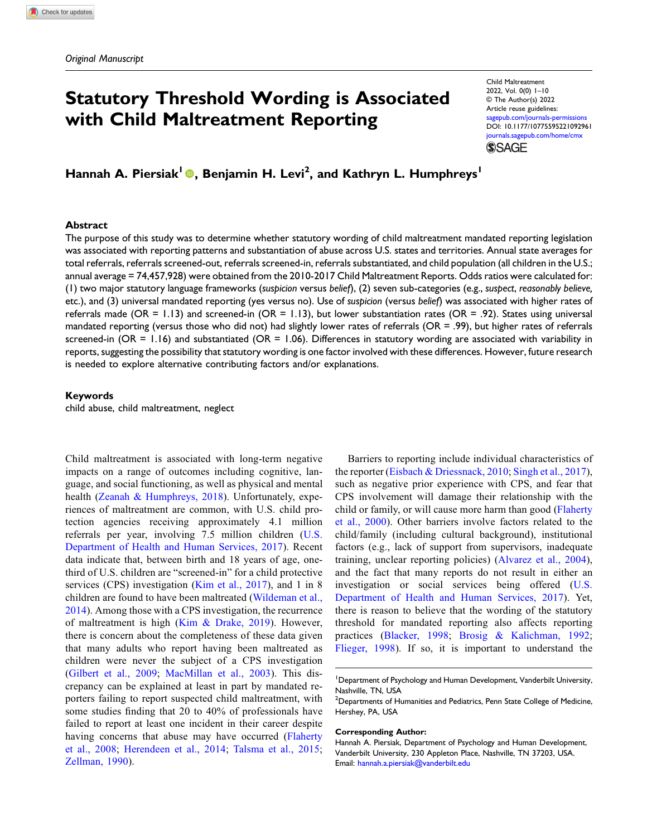# Statutory Threshold Wording is Associated with Child Maltreatment Reporting

Child Maltreatment 2022, Vol. 0(0) 1–10 © The Author(s) 2022 Article reuse guidelines: [sagepub.com/journals-permissions](https://us.sagepub.com/en-us/journals-permissions) DOI: [10.1177/10775595221092961](https://doi.org/10.1177/10775595221092961) [journals.sagepub.com/home/cmx](https://journals.sagepub.com/home/cmx) **SSAGE** 

Hannah A. Piersiak<sup>l</sup> ©, Benjamin H. Levi<sup>2</sup>, and Kathryn L. Humphreys<sup>1</sup>

#### Abstract

The purpose of this study was to determine whether statutory wording of child maltreatment mandated reporting legislation was associated with reporting patterns and substantiation of abuse across U.S. states and territories. Annual state averages for total referrals, referrals screened-out, referrals screened-in, referrals substantiated, and child population (all children in the U.S.; annual average = 74,457,928) were obtained from the 2010-2017 Child Maltreatment Reports. Odds ratios were calculated for: (1) two major statutory language frameworks (suspicion versus belief), (2) seven sub-categories (e.g., suspect, reasonably believe, etc.), and (3) universal mandated reporting (yes versus no). Use of suspicion (versus belief) was associated with higher rates of referrals made ( $OR = 1.13$ ) and screened-in ( $OR = 1.13$ ), but lower substantiation rates ( $OR = .92$ ). States using universal mandated reporting (versus those who did not) had slightly lower rates of referrals (OR = .99), but higher rates of referrals screened-in  $(OR = 1.16)$  and substantiated  $(OR = 1.06)$ . Differences in statutory wording are associated with variability in reports, suggesting the possibility that statutory wording is one factor involved with these differences. However, future research is needed to explore alternative contributing factors and/or explanations.

### Keywords

child abuse, child maltreatment, neglect

Child maltreatment is associated with long-term negative impacts on a range of outcomes including cognitive, language, and social functioning, as well as physical and mental health [\(Zeanah & Humphreys, 2018](#page-9-0)). Unfortunately, experiences of maltreatment are common, with U.S. child protection agencies receiving approximately 4.1 million referrals per year, involving 7.5 million children [\(U.S.](#page-9-1) [Department of Health and Human Services, 2017\)](#page-9-1). Recent data indicate that, between birth and 18 years of age, onethird of U.S. children are "screened-in" for a child protective services (CPS) investigation ([Kim et al., 2017\)](#page-8-0), and 1 in 8 children are found to have been maltreated [\(Wildeman et al.,](#page-9-2) [2014](#page-9-2)). Among those with a CPS investigation, the recurrence of maltreatment is high [\(Kim & Drake, 2019\)](#page-8-1). However, there is concern about the completeness of these data given that many adults who report having been maltreated as children were never the subject of a CPS investigation [\(Gilbert et al., 2009;](#page-8-2) [MacMillan et al., 2003](#page-8-3)). This discrepancy can be explained at least in part by mandated reporters failing to report suspected child maltreatment, with some studies finding that 20 to 40% of professionals have failed to report at least one incident in their career despite having concerns that abuse may have occurred ([Flaherty](#page-8-4) [et al., 2008](#page-8-4); [Herendeen et al., 2014;](#page-8-5) [Talsma et al., 2015;](#page-9-3) [Zellman, 1990](#page-9-4)).

Barriers to reporting include individual characteristics of the reporter [\(Eisbach & Driessnack, 2010](#page-8-6); [Singh et al., 2017](#page-9-5)), such as negative prior experience with CPS, and fear that CPS involvement will damage their relationship with the child or family, or will cause more harm than good [\(Flaherty](#page-8-7) [et al., 2000\)](#page-8-7). Other barriers involve factors related to the child/family (including cultural background), institutional factors (e.g., lack of support from supervisors, inadequate training, unclear reporting policies) ([Alvarez et al., 2004](#page-7-0)), and the fact that many reports do not result in either an investigation or social services being offered ([U.S.](#page-9-1) [Department of Health and Human Services, 2017\)](#page-9-1). Yet, there is reason to believe that the wording of the statutory threshold for mandated reporting also affects reporting practices ([Blacker, 1998;](#page-8-8) [Brosig & Kalichman, 1992](#page-8-9); [Flieger, 1998](#page-8-10)). If so, it is important to understand the

#### Corresponding Author:

<sup>&</sup>lt;sup>1</sup>Department of Psychology and Human Development, Vanderbilt University, Nashville, TN, USA

 $^2$ Departments of Humanities and Pediatrics, Penn State College of Medicine, Hershey, PA, USA

Hannah A. Piersiak, Department of Psychology and Human Development, Vanderbilt University, 230 Appleton Place, Nashville, TN 37203, USA. Email: [hannah.a.piersiak@vanderbilt.edu](mailto:hannah.a.piersiak@vanderbilt.edu)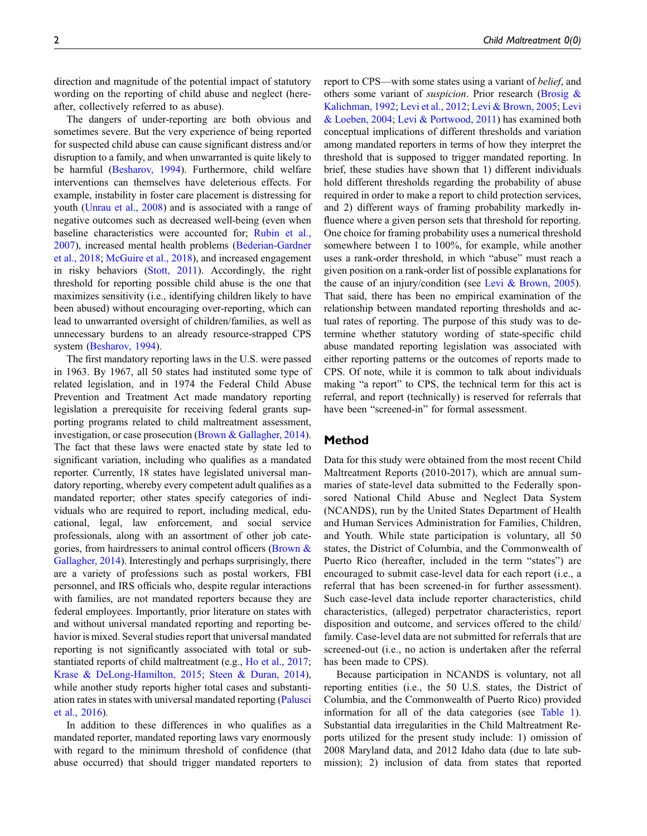direction and magnitude of the potential impact of statutory wording on the reporting of child abuse and neglect (hereafter, collectively referred to as abuse).

The dangers of under-reporting are both obvious and sometimes severe. But the very experience of being reported for suspected child abuse can cause significant distress and/or disruption to a family, and when unwarranted is quite likely to be harmful [\(Besharov, 1994](#page-7-1)). Furthermore, child welfare interventions can themselves have deleterious effects. For example, instability in foster care placement is distressing for youth [\(Unrau et al., 2008](#page-9-6)) and is associated with a range of negative outcomes such as decreased well-being (even when baseline characteristics were accounted for; [Rubin et al.,](#page-9-7) [2007](#page-9-7)), increased mental health problems [\(Bederian-Gardner](#page-7-2) [et al., 2018](#page-7-2); [McGuire et al., 2018](#page-9-8)), and increased engagement in risky behaviors ([Stott, 2011](#page-9-9)). Accordingly, the right threshold for reporting possible child abuse is the one that maximizes sensitivity (i.e., identifying children likely to have been abused) without encouraging over-reporting, which can lead to unwarranted oversight of children/families, as well as unnecessary burdens to an already resource-strapped CPS system [\(Besharov, 1994\)](#page-7-1).

The first mandatory reporting laws in the U.S. were passed in 1963. By 1967, all 50 states had instituted some type of related legislation, and in 1974 the Federal Child Abuse Prevention and Treatment Act made mandatory reporting legislation a prerequisite for receiving federal grants supporting programs related to child maltreatment assessment, investigation, or case prosecution [\(Brown & Gallagher, 2014\)](#page-8-11). The fact that these laws were enacted state by state led to significant variation, including who qualifies as a mandated reporter. Currently, 18 states have legislated universal mandatory reporting, whereby every competent adult qualifies as a mandated reporter; other states specify categories of individuals who are required to report, including medical, educational, legal, law enforcement, and social service professionals, along with an assortment of other job categories, from hairdressers to animal control officers (Brown  $\&$ [Gallagher, 2014](#page-8-11)). Interestingly and perhaps surprisingly, there are a variety of professions such as postal workers, FBI personnel, and IRS officials who, despite regular interactions with families, are not mandated reporters because they are federal employees. Importantly, prior literature on states with and without universal mandated reporting and reporting behavior is mixed. Several studies report that universal mandated reporting is not significantly associated with total or substantiated reports of child maltreatment (e.g., [Ho et al., 2017;](#page-8-12) [Krase & DeLong-Hamilton, 2015](#page-8-13); [Steen & Duran, 2014\)](#page-9-10), while another study reports higher total cases and substantiation rates in states with universal mandated reporting [\(Palusci](#page-9-11) [et al., 2016\)](#page-9-11).

In addition to these differences in who qualifies as a mandated reporter, mandated reporting laws vary enormously with regard to the minimum threshold of confidence (that abuse occurred) that should trigger mandated reporters to

report to CPS—with some states using a variant of belief, and others some variant of *suspicion*. Prior research (Brosig  $\&$ [Kalichman, 1992](#page-8-9); [Levi et al., 2012;](#page-8-14) [Levi & Brown, 2005;](#page-8-15) [Levi](#page-8-16) [& Loeben, 2004](#page-8-16); [Levi & Portwood, 2011](#page-8-17)) has examined both conceptual implications of different thresholds and variation among mandated reporters in terms of how they interpret the threshold that is supposed to trigger mandated reporting. In brief, these studies have shown that 1) different individuals hold different thresholds regarding the probability of abuse required in order to make a report to child protection services, and 2) different ways of framing probability markedly influence where a given person sets that threshold for reporting. One choice for framing probability uses a numerical threshold somewhere between 1 to 100%, for example, while another uses a rank-order threshold, in which "abuse" must reach a given position on a rank-order list of possible explanations for the cause of an injury/condition (see [Levi & Brown, 2005\)](#page-8-15). That said, there has been no empirical examination of the relationship between mandated reporting thresholds and actual rates of reporting. The purpose of this study was to determine whether statutory wording of state-specific child abuse mandated reporting legislation was associated with either reporting patterns or the outcomes of reports made to CPS. Of note, while it is common to talk about individuals making "a report" to CPS, the technical term for this act is referral, and report (technically) is reserved for referrals that have been "screened-in" for formal assessment.

# Method

Data for this study were obtained from the most recent Child Maltreatment Reports (2010-2017), which are annual summaries of state-level data submitted to the Federally sponsored National Child Abuse and Neglect Data System (NCANDS), run by the United States Department of Health and Human Services Administration for Families, Children, and Youth. While state participation is voluntary, all 50 states, the District of Columbia, and the Commonwealth of Puerto Rico (hereafter, included in the term "states") are encouraged to submit case-level data for each report (i.e., a referral that has been screened-in for further assessment). Such case-level data include reporter characteristics, child characteristics, (alleged) perpetrator characteristics, report disposition and outcome, and services offered to the child/ family. Case-level data are not submitted for referrals that are screened-out (i.e., no action is undertaken after the referral has been made to CPS).

Because participation in NCANDS is voluntary, not all reporting entities (i.e., the 50 U.S. states, the District of Columbia, and the Commonwealth of Puerto Rico) provided information for all of the data categories (see [Table 1\)](#page-2-0). Substantial data irregularities in the Child Maltreatment Reports utilized for the present study include: 1) omission of 2008 Maryland data, and 2012 Idaho data (due to late submission); 2) inclusion of data from states that reported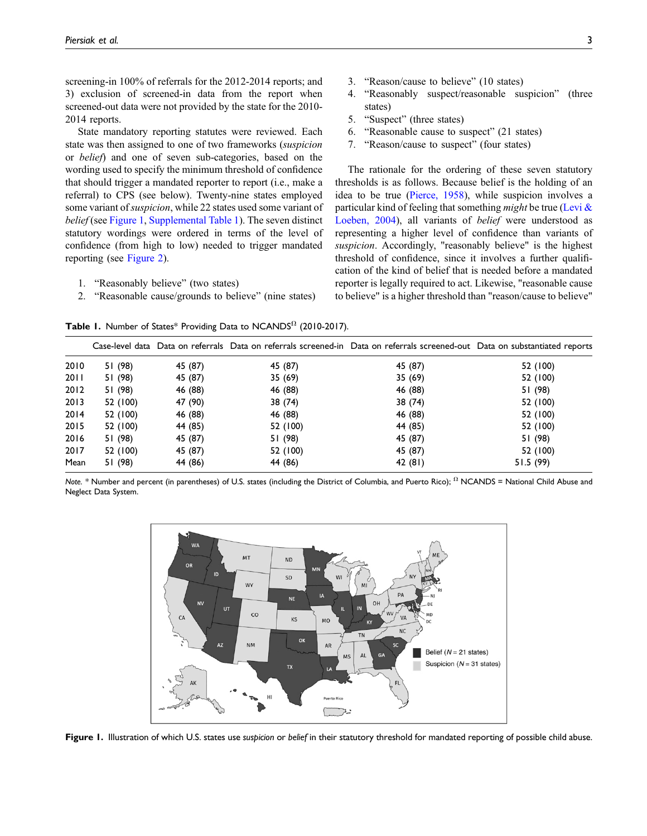screening-in 100% of referrals for the 2012-2014 reports; and 3) exclusion of screened-in data from the report when screened-out data were not provided by the state for the 2010- 2014 reports.

State mandatory reporting statutes were reviewed. Each state was then assigned to one of two frameworks (suspicion or belief) and one of seven sub-categories, based on the wording used to specify the minimum threshold of confidence that should trigger a mandated reporter to report (i.e., make a referral) to CPS (see below). Twenty-nine states employed some variant of *suspicion*, while 22 states used some variant of belief (see [Figure 1](#page-2-1), [Supplemental Table 1](https://journals.sagepub.com/doi/suppl/10.1177/10775595221092961)). The seven distinct statutory wordings were ordered in terms of the level of confidence (from high to low) needed to trigger mandated reporting (see [Figure 2](#page-3-0)).

- 1. "Reasonably believe" (two states)
- 2. "Reasonable cause/grounds to believe" (nine states)

3. "Reason/cause to believe" (10 states)

- 4. "Reasonably suspect/reasonable suspicion" (three states)
- 5. "Suspect" (three states)
- 6. "Reasonable cause to suspect" (21 states)
- 7. "Reason/cause to suspect" (four states)

The rationale for the ordering of these seven statutory thresholds is as follows. Because belief is the holding of an idea to be true ([Pierce, 1958](#page-9-12)), while suspicion involves a particular kind of feeling that something might be true (Levi  $\&$ [Loeben, 2004\)](#page-8-16), all variants of belief were understood as representing a higher level of confidence than variants of suspicion. Accordingly, "reasonably believe" is the highest threshold of confidence, since it involves a further qualification of the kind of belief that is needed before a mandated reporter is legally required to act. Likewise, "reasonable cause to believe" is a higher threshold than "reason/cause to believe"

Table 1. Number of States\* Providing Data to NCANDS $<sup>Ω</sup>$  (2010-2017).</sup>

|      |          |         |          | Case-level data Data on referrals Data on referrals screened-in Data on referrals screened-out Data on substantiated reports |           |
|------|----------|---------|----------|------------------------------------------------------------------------------------------------------------------------------|-----------|
| 2010 | 51 (98)  | 45 (87) | 45 (87)  | 45 (87)                                                                                                                      | 52 (100)  |
| 2011 | 51 (98)  | 45 (87) | 35(69)   | 35(69)                                                                                                                       | 52 (100)  |
| 2012 | 51 (98)  | 46 (88) | 46 (88)  | 46 (88)                                                                                                                      | 51 (98)   |
| 2013 | 52 (100) | 47 (90) | 38 (74)  | 38 (74)                                                                                                                      | 52 (100)  |
| 2014 | 52 (100) | 46 (88) | 46 (88)  | 46 (88)                                                                                                                      | 52 (100)  |
| 2015 | 52 (100) | 44 (85) | 52 (100) | 44 (85)                                                                                                                      | 52 (100)  |
| 2016 | 51 (98)  | 45 (87) | 51 (98)  | 45 (87)                                                                                                                      | 51 (98)   |
| 2017 | 52 (100) | 45 (87) | 52 (100) | 45 (87)                                                                                                                      | 52 (100)  |
| Mean | 51 (98)  | 44 (86) | 44 (86)  | 42 (81)                                                                                                                      | 51.5 (99) |

<span id="page-2-0"></span>Note. \* Number and percent (in parentheses) of U.S. states (including the District of Columbia, and Puerto Rico);  $\Omega$  NCANDS = National Child Abuse and Neglect Data System.



<span id="page-2-1"></span>Figure 1. Illustration of which U.S. states use suspicion or belief in their statutory threshold for mandated reporting of possible child abuse.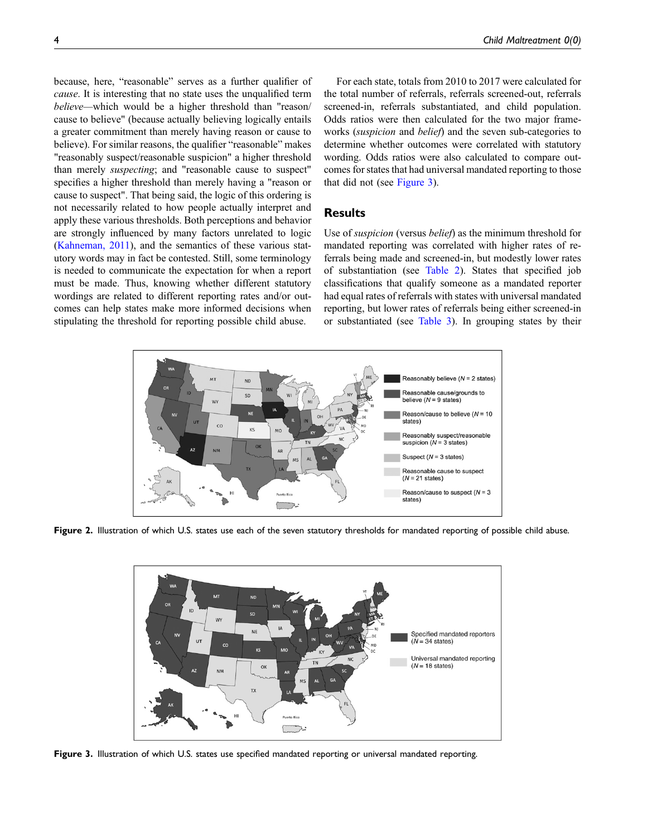because, here, "reasonable" serves as a further qualifier of cause. It is interesting that no state uses the unqualified term believe—which would be a higher threshold than "reason/ cause to believe" (because actually believing logically entails a greater commitment than merely having reason or cause to believe). For similar reasons, the qualifier "reasonable" makes "reasonably suspect/reasonable suspicion" a higher threshold than merely suspecting; and "reasonable cause to suspect" specifies a higher threshold than merely having a "reason or cause to suspect". That being said, the logic of this ordering is not necessarily related to how people actually interpret and apply these various thresholds. Both perceptions and behavior are strongly influenced by many factors unrelated to logic [\(Kahneman, 2011](#page-8-18)), and the semantics of these various statutory words may in fact be contested. Still, some terminology is needed to communicate the expectation for when a report must be made. Thus, knowing whether different statutory wordings are related to different reporting rates and/or outcomes can help states make more informed decisions when stipulating the threshold for reporting possible child abuse.

For each state, totals from 2010 to 2017 were calculated for the total number of referrals, referrals screened-out, referrals screened-in, referrals substantiated, and child population. Odds ratios were then calculated for the two major frameworks (suspicion and belief) and the seven sub-categories to determine whether outcomes were correlated with statutory wording. Odds ratios were also calculated to compare outcomes for states that had universal mandated reporting to those that did not (see [Figure 3\)](#page-3-1).

## Results

Use of suspicion (versus belief) as the minimum threshold for mandated reporting was correlated with higher rates of referrals being made and screened-in, but modestly lower rates of substantiation (see [Table 2](#page-4-0)). States that specified job classifications that qualify someone as a mandated reporter had equal rates of referrals with states with universal mandated reporting, but lower rates of referrals being either screened-in or substantiated (see [Table 3\)](#page-4-1). In grouping states by their



<span id="page-3-0"></span>Figure 2. Illustration of which U.S. states use each of the seven statutory thresholds for mandated reporting of possible child abuse.



<span id="page-3-1"></span>Figure 3. Illustration of which U.S. states use specified mandated reporting or universal mandated reporting.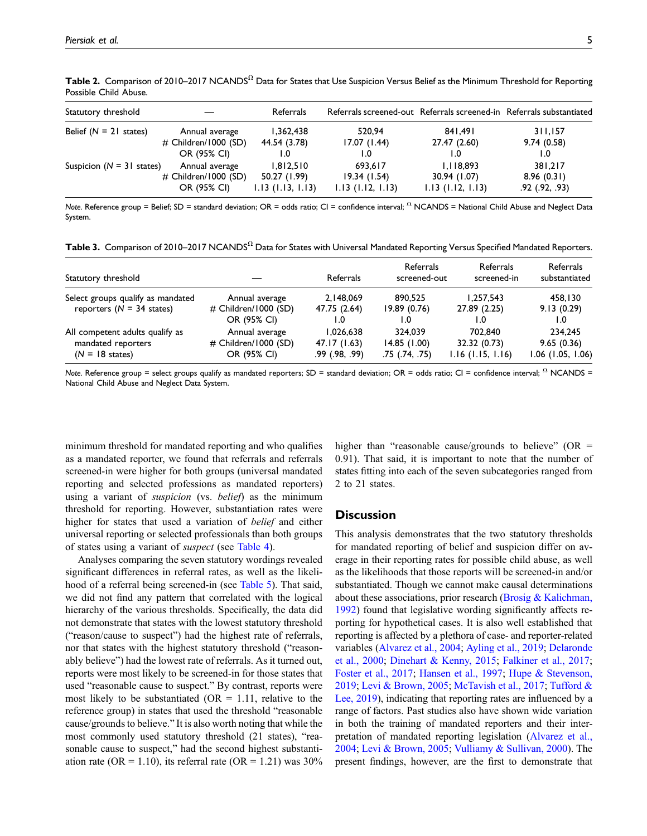| Statutory threshold         |                         | Referrals           | Referrals screened-out Referrals screened-in Referrals substantiated |                     |                    |
|-----------------------------|-------------------------|---------------------|----------------------------------------------------------------------|---------------------|--------------------|
| Belief $(N = 21$ states)    | Annual average          | 1.362.438           | 520.94                                                               | 841.491             | 311,157            |
|                             | $\#$ Children/1000 (SD) | 44.54 (3.78)        | 17.07(1.44)                                                          | 27.47 (2.60)        | 9.74(0.58)         |
|                             | OR (95% CI)             |                     | 1.0                                                                  | I.O                 | 0. ا               |
| Suspicion $(N = 31$ states) | Annual average          | 1.812.510           | 693.617                                                              | 1,118,893           | 381.217            |
|                             | $\#$ Children/1000 (SD) | 50.27 (1.99)        | 19.34(1.54)                                                          | 30.94 (1.07)        | 8.96(0.31)         |
|                             | OR (95% CI)             | $1.13$ (1.13, 1.13) | $1.13$ (1.12, 1.13)                                                  | $1.13$ (1.12, 1.13) | $.92$ $(.92, .93)$ |

Table 2. Comparison of 2010–2017 NCANDS $^{\Omega}$  Data for States that Use Suspicion Versus Belief as the Minimum Threshold for Reporting Possible Child Abuse.

<span id="page-4-0"></span>Note. Reference group = Belief; SD = standard deviation; OR = odds ratio; CI = confidence interval;  $\Omega$  NCANDS = National Child Abuse and Neglect Data System.

|  | Table 3. Comparison of 2010–2017 NCANDS $^{\Omega}$ Data for States with Universal Mandated Reporting Versus Specified Mandated Reporters. |  |  |  |  |  |
|--|--------------------------------------------------------------------------------------------------------------------------------------------|--|--|--|--|--|
|--|--------------------------------------------------------------------------------------------------------------------------------------------|--|--|--|--|--|

| Statutory threshold                                                                |                                                       | Referrals                                       | Referrals<br>screened-out                    | Referrals<br>screened-in                       | Referrals<br>substantiated                 |
|------------------------------------------------------------------------------------|-------------------------------------------------------|-------------------------------------------------|----------------------------------------------|------------------------------------------------|--------------------------------------------|
| Select groups qualify as mandated<br>reporters ( $N = 34$ states)                  | Annual average<br># Children/1000 (SD)<br>OR (95% CI) | 2,148,069<br>47.75 (2.64)<br>1.0                | 890.525<br>19.89(0.76)<br>I.O                | 1,257,543<br>27.89 (2.25)<br>1.0               | 458.130<br>9.13(0.29)<br>1.0               |
| All competent adults qualify as<br>mandated reporters<br>$(N = 18 \text{ states})$ | Annual average<br># Children/1000 (SD)<br>OR (95% CI) | 1,026,638<br>47.17 (1.63)<br>$.99$ $(.98, .99)$ | 324.039<br>14.85(1.00)<br>$.75$ $(.74, .75)$ | 702.840<br>32.32 (0.73)<br>$1.16$ (1.15, 1.16) | 234.245<br>9.65(0.36)<br>1.06 (1.05, 1.06) |

<span id="page-4-1"></span>Note. Reference group = select groups qualify as mandated reporters; SD = standard deviation; OR = odds ratio; CI = confidence interval;  $\Omega$  NCANDS = National Child Abuse and Neglect Data System.

minimum threshold for mandated reporting and who qualifies as a mandated reporter, we found that referrals and referrals screened-in were higher for both groups (universal mandated reporting and selected professions as mandated reporters) using a variant of *suspicion* (vs. belief) as the minimum threshold for reporting. However, substantiation rates were higher for states that used a variation of belief and either universal reporting or selected professionals than both groups of states using a variant of suspect (see [Table 4\)](#page-5-0).

Analyses comparing the seven statutory wordings revealed significant differences in referral rates, as well as the likelihood of a referral being screened-in (see [Table 5](#page-5-1)). That said, we did not find any pattern that correlated with the logical hierarchy of the various thresholds. Specifically, the data did not demonstrate that states with the lowest statutory threshold ("reason/cause to suspect") had the highest rate of referrals, nor that states with the highest statutory threshold ("reasonably believe") had the lowest rate of referrals. As it turned out, reports were most likely to be screened-in for those states that used "reasonable cause to suspect." By contrast, reports were most likely to be substantiated ( $OR = 1.11$ , relative to the reference group) in states that used the threshold "reasonable cause/grounds to believe." It is also worth noting that while the most commonly used statutory threshold (21 states), "reasonable cause to suspect," had the second highest substantiation rate (OR = 1.10), its referral rate (OR = 1.21) was  $30\%$  higher than "reasonable cause/grounds to believe" ( $OR =$ 0.91). That said, it is important to note that the number of states fitting into each of the seven subcategories ranged from 2 to 21 states.

#### **Discussion**

This analysis demonstrates that the two statutory thresholds for mandated reporting of belief and suspicion differ on average in their reporting rates for possible child abuse, as well as the likelihoods that those reports will be screened-in and/or substantiated. Though we cannot make causal determinations about these associations, prior research (Brosig  $&$  Kalichman, [1992](#page-8-9)) found that legislative wording significantly affects reporting for hypothetical cases. It is also well established that reporting is affected by a plethora of case- and reporter-related variables ([Alvarez et al., 2004](#page-7-0); [Ayling et al., 2019;](#page-7-3) [Delaronde](#page-8-19) [et al., 2000](#page-8-19); [Dinehart & Kenny, 2015;](#page-8-20) [Falkiner et al., 2017](#page-8-21); [Foster et al., 2017](#page-8-22); [Hansen et al., 1997;](#page-8-23) [Hupe & Stevenson,](#page-8-24) [2019](#page-8-24); [Levi & Brown, 2005;](#page-8-15) [McTavish et al., 2017;](#page-9-13) [Tufford &](#page-9-14) [Lee, 2019](#page-9-14)), indicating that reporting rates are influenced by a range of factors. Past studies also have shown wide variation in both the training of mandated reporters and their interpretation of mandated reporting legislation ([Alvarez et al.,](#page-7-0) [2004](#page-7-0); [Levi & Brown, 2005;](#page-8-15) [Vulliamy & Sullivan, 2000](#page-9-15)). The present findings, however, are the first to demonstrate that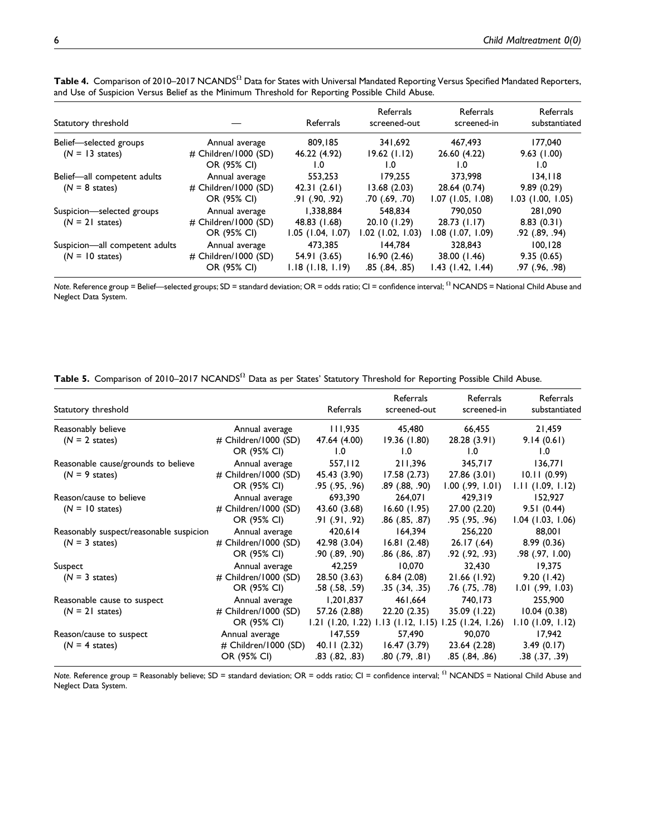| Statutory threshold                                         |                                                       | Referrals                                        | Referrals<br>screened-out                    | Referrals<br>screened-in                       | Referrals<br>substantiated                   |
|-------------------------------------------------------------|-------------------------------------------------------|--------------------------------------------------|----------------------------------------------|------------------------------------------------|----------------------------------------------|
| Belief-selected groups<br>$(N = 13 \text{ states})$         | Annual average<br># Children/1000 (SD)<br>OR (95% CI) | 809,185<br>46.22 (4.92)<br>1.0                   | 341,692<br>19.62(1.12)<br>1.0                | 467.493<br>26.60 (4.22)<br>1.0                 | 177.040<br>9.63(1.00)<br>1.0                 |
| Belief-all competent adults<br>$(N = 8 \text{ states})$     | Annual average<br># Children/1000 (SD)<br>OR (95% CI) | 553,253<br>42.31(2.61)<br>$.91$ $(.90, .92)$     | 179.255<br>13.68(2.03)<br>.70 (.69, .70)     | 373,998<br>28.64 (0.74)<br>$1.07$ (1.05, 1.08) | 134.118<br>9.89(0.29)<br>$1.03$ (1.00, 1.05) |
| Suspicion-selected groups<br>$(N = 21$ states)              | Annual average<br># Children/1000 (SD)<br>OR (95% CI) | 1.338.884<br>48.83 (1.68)<br>$1.05$ (1.04, 1.07) | 548,834<br>20.10 (1.29)<br>.02 (1.02, 1.03)  | 790,050<br>$28.73$ (1.17)<br>1.08 (1.07, 1.09) | 281,090<br>8.83(0.31)<br>.92 (.89, .94)      |
| Suspicion-all competent adults<br>$(N = 10 \text{ states})$ | Annual average<br># Children/1000 (SD)<br>OR (95% CI) | 473.385<br>54.91 (3.65)<br>$1.18$ (1.18, 1.19)   | 144.784<br>16.90(2.46)<br>$.85$ $(.84, .85)$ | 328,843<br>38.00 (1.46)<br>1.43 (1.42, 1.44)   | 100.128<br>9.35(0.65)<br>.97 (.96, .98)      |

<code>Table 4.</code> Comparison of 2010–2017 NCANDS $^\Omega$  Data for States with Universal Mandated Reporting Versus Specified Mandated Reporters, and Use of Suspicion Versus Belief as the Minimum Threshold for Reporting Possible Child Abuse.

<span id="page-5-0"></span>Note. Reference group = Belief—selected groups; SD = standard deviation; OR = odds ratio; CI = confidence interval;  $\Omega$  NCANDS = National Child Abuse and Neglect Data System.

Table 5. Comparison of 2010–2017 NCANDS $^{\Omega}$  Data as per States' Statutory Threshold for Reporting Possible Child Abuse.

| Statutory threshold                     |                                     | Referrals           | Referrals<br>screened-out                               | Referrals<br>screened-in | Referrals<br>substantiated |
|-----------------------------------------|-------------------------------------|---------------------|---------------------------------------------------------|--------------------------|----------------------------|
| Reasonably believe                      | Annual average                      | 111,935             | 45,480                                                  | 66,455                   | 21,459                     |
| $(N = 2$ states)                        | # Children/1000 (SD)<br>OR (95% CI) | 47.64 (4.00)<br>1.0 | 19.36(1.80)<br>1.0                                      | 28.28 (3.91)<br>1.0      | 9.14(0.61)<br>1.0          |
| Reasonable cause/grounds to believe     | Annual average                      | 557,112             | 211,396                                                 | 345,717                  | 136,771                    |
| $(N = 9$ states)                        | # Children/1000 (SD)                | 45.43 (3.90)        | 17.58 (2.73)                                            | 27.86(3.01)              | 10.11(0.99)                |
|                                         | OR (95% CI)                         | .95 (.95, .96)      | .89 (.88, .90)                                          | $1.00$ (.99, 1.01)       | 1.11(1.09, 1.12)           |
| Reason/cause to believe                 | Annual average                      | 693,390             | 264,071                                                 | 429,319                  | 152,927                    |
| $(N = 10 \text{ states})$               | # Children/1000 (SD)                | 43.60 (3.68)        | 16.60(1.95)                                             | 27.00 (2.20)             | 9.51(0.44)                 |
|                                         | OR (95% CI)                         | .91 (.91, .92)      | $.86$ $(.85, .87)$                                      | $.95$ $(.95, .96)$       | $1.04$ (1.03, 1.06)        |
| Reasonably suspect/reasonable suspicion | Annual average                      | 420,614             | 164,394                                                 | 256,220                  | 88,001                     |
| $(N = 3$ states)                        | # Children/1000 (SD)                | 42.98 (3.04)        | 16.81(2.48)                                             | 26.17(.64)               | 8.99(0.36)                 |
|                                         | OR (95% CI)                         | $.90$ $(.89, .90)$  | $.86$ $(.86, .87)$                                      | $.92$ $(.92, .93)$       | .98 (.97, 1.00)            |
| Suspect                                 | Annual average                      | 42,259              | 10,070                                                  | 32,430                   | 19,375                     |
| $(N = 3 \text{ states})$                | # Children/1000 (SD)                | 28.50 (3.63)        | 6.84(2.08)                                              | 21.66 (1.92)             | 9.20(1.42)                 |
|                                         | OR (95% CI)                         | $.58$ $(.58, .59)$  | $.35$ $(.34, .35)$                                      | .76 (.75, .78)           | 1.01 (.99, 1.03)           |
| Reasonable cause to suspect             | Annual average                      | 1,201,837           | 461,664                                                 | 740,173                  | 255,900                    |
| $(N = 21$ states)                       | # Children/1000 (SD)                | 57.26 (2.88)        | 22.20 (2.35)                                            | 35.09 (1.22)             | 10.04(0.38)                |
|                                         | OR (95% CI)                         |                     | $1.21$ (1.20, 1.22) 1.13 (1.12, 1.15) 1.25 (1.24, 1.26) |                          | $1.10$ (1.09, 1.12)        |
| Reason/cause to suspect                 | Annual average                      | 147,559             | 57,490                                                  | 90,070                   | 17,942                     |
| $(N = 4$ states)                        | # Children/1000 (SD)                | 40.11(2.32)         | 16.47(3.79)                                             | 23.64 (2.28)             | 3.49(0.17)                 |
|                                         | OR (95% CI)                         | $.83$ $(.82, .83)$  | $.80$ $(.79, .81)$                                      | $.85$ $(.84, .86)$       | .38 (.37, .39)             |

<span id="page-5-1"></span>Note. Reference group = Reasonably believe; SD = standard deviation; OR = odds ratio; CI = confidence interval;  $\Omega$  NCANDS = National Child Abuse and Neglect Data System.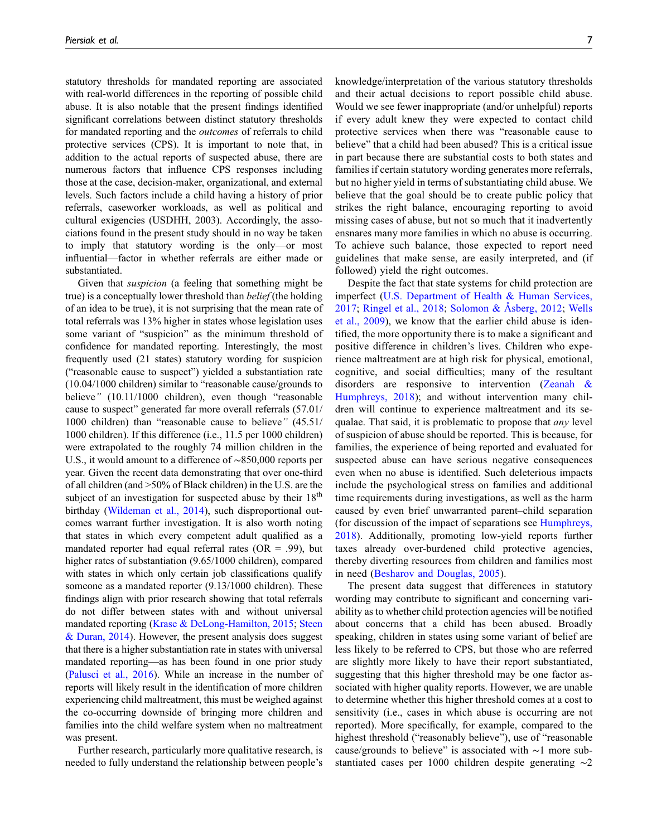statutory thresholds for mandated reporting are associated with real-world differences in the reporting of possible child abuse. It is also notable that the present findings identified significant correlations between distinct statutory thresholds for mandated reporting and the outcomes of referrals to child protective services (CPS). It is important to note that, in addition to the actual reports of suspected abuse, there are numerous factors that influence CPS responses including those at the case, decision-maker, organizational, and external levels. Such factors include a child having a history of prior referrals, caseworker workloads, as well as political and cultural exigencies (USDHH, 2003). Accordingly, the associations found in the present study should in no way be taken to imply that statutory wording is the only—or most influential—factor in whether referrals are either made or substantiated.

Given that suspicion (a feeling that something might be true) is a conceptually lower threshold than *belief* (the holding of an idea to be true), it is not surprising that the mean rate of total referrals was 13% higher in states whose legislation uses some variant of "suspicion" as the minimum threshold of confidence for mandated reporting. Interestingly, the most frequently used (21 states) statutory wording for suspicion ("reasonable cause to suspect") yielded a substantiation rate (10.04/1000 children) similar to "reasonable cause/grounds to believe" (10.11/1000 children), even though "reasonable cause to suspect" generated far more overall referrals (57.01/ 1000 children) than "reasonable cause to believe" (45.51/ 1000 children). If this difference (i.e., 11.5 per 1000 children) were extrapolated to the roughly 74 million children in the U.S., it would amount to a difference of ∼850,000 reports per year. Given the recent data demonstrating that over one-third of all children (and >50% of Black children) in the U.S. are the subject of an investigation for suspected abuse by their  $18<sup>th</sup>$ birthday ([Wildeman et al., 2014](#page-9-2)), such disproportional outcomes warrant further investigation. It is also worth noting that states in which every competent adult qualified as a mandated reporter had equal referral rates  $(OR = .99)$ , but higher rates of substantiation (9.65/1000 children), compared with states in which only certain job classifications qualify someone as a mandated reporter (9.13/1000 children). These findings align with prior research showing that total referrals do not differ between states with and without universal mandated reporting ([Krase & DeLong-Hamilton, 2015](#page-8-13); [Steen](#page-9-10) [& Duran, 2014\)](#page-9-10). However, the present analysis does suggest that there is a higher substantiation rate in states with universal mandated reporting—as has been found in one prior study [\(Palusci et al., 2016\)](#page-9-11). While an increase in the number of reports will likely result in the identification of more children experiencing child maltreatment, this must be weighed against the co-occurring downside of bringing more children and families into the child welfare system when no maltreatment was present.

Further research, particularly more qualitative research, is needed to fully understand the relationship between people's

knowledge/interpretation of the various statutory thresholds and their actual decisions to report possible child abuse. Would we see fewer inappropriate (and/or unhelpful) reports if every adult knew they were expected to contact child protective services when there was "reasonable cause to believe" that a child had been abused? This is a critical issue in part because there are substantial costs to both states and families if certain statutory wording generates more referrals, but no higher yield in terms of substantiating child abuse. We believe that the goal should be to create public policy that strikes the right balance, encouraging reporting to avoid missing cases of abuse, but not so much that it inadvertently ensnares many more families in which no abuse is occurring. To achieve such balance, those expected to report need guidelines that make sense, are easily interpreted, and (if followed) yield the right outcomes.

Despite the fact that state systems for child protection are imperfect ([U.S. Department of Health & Human Services,](#page-9-1) [2017;](#page-9-1) [Ringel et al., 2018](#page-9-16); [Solomon &](#page-9-17) [Asberg, 2012](#page-9-17); [Wells](#page-9-18) [et al., 2009\)](#page-9-18), we know that the earlier child abuse is identified, the more opportunity there is to make a significant and positive difference in children's lives. Children who experience maltreatment are at high risk for physical, emotional, cognitive, and social difficulties; many of the resultant disorders are responsive to intervention ([Zeanah &](#page-9-0) [Humphreys, 2018\)](#page-9-0); and without intervention many children will continue to experience maltreatment and its sequalae. That said, it is problematic to propose that any level of suspicion of abuse should be reported. This is because, for families, the experience of being reported and evaluated for suspected abuse can have serious negative consequences even when no abuse is identified. Such deleterious impacts include the psychological stress on families and additional time requirements during investigations, as well as the harm caused by even brief unwarranted parent–child separation (for discussion of the impact of separations see [Humphreys,](#page-8-25) [2018\)](#page-8-25). Additionally, promoting low-yield reports further taxes already over-burdened child protective agencies, thereby diverting resources from children and families most in need [\(Besharov and Douglas, 2005\)](#page-7-4).

The present data suggest that differences in statutory wording may contribute to significant and concerning variability as to whether child protection agencies will be notified about concerns that a child has been abused. Broadly speaking, children in states using some variant of belief are less likely to be referred to CPS, but those who are referred are slightly more likely to have their report substantiated, suggesting that this higher threshold may be one factor associated with higher quality reports. However, we are unable to determine whether this higher threshold comes at a cost to sensitivity (i.e., cases in which abuse is occurring are not reported). More specifically, for example, compared to the highest threshold ("reasonably believe"), use of "reasonable" cause/grounds to believe" is associated with ∼1 more substantiated cases per 1000 children despite generating ∼2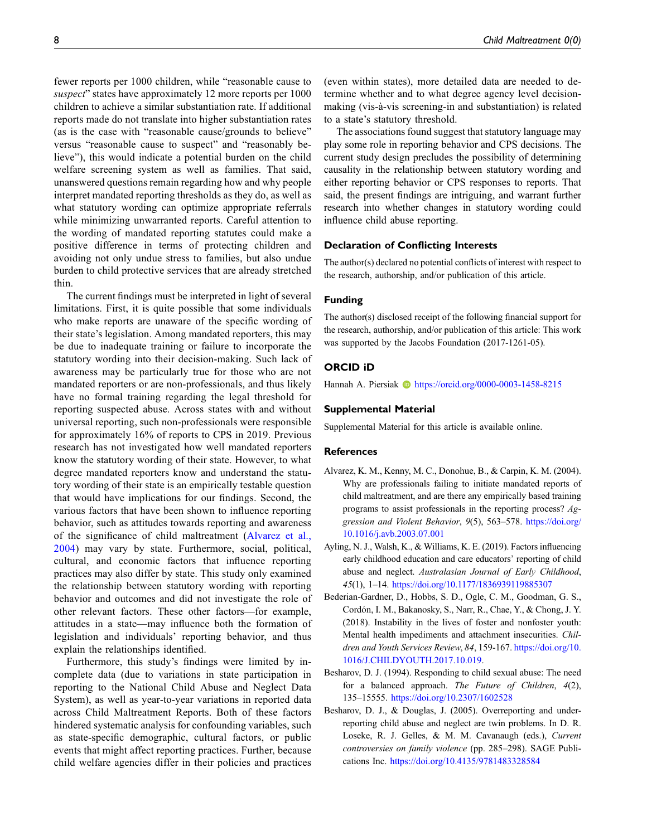fewer reports per 1000 children, while "reasonable cause to suspect" states have approximately 12 more reports per 1000 children to achieve a similar substantiation rate. If additional reports made do not translate into higher substantiation rates (as is the case with "reasonable cause/grounds to believe" versus "reasonable cause to suspect" and "reasonably believe"), this would indicate a potential burden on the child welfare screening system as well as families. That said, unanswered questions remain regarding how and why people interpret mandated reporting thresholds as they do, as well as what statutory wording can optimize appropriate referrals while minimizing unwarranted reports. Careful attention to the wording of mandated reporting statutes could make a positive difference in terms of protecting children and avoiding not only undue stress to families, but also undue burden to child protective services that are already stretched thin.

The current findings must be interpreted in light of several limitations. First, it is quite possible that some individuals who make reports are unaware of the specific wording of their state's legislation. Among mandated reporters, this may be due to inadequate training or failure to incorporate the statutory wording into their decision-making. Such lack of awareness may be particularly true for those who are not mandated reporters or are non-professionals, and thus likely have no formal training regarding the legal threshold for reporting suspected abuse. Across states with and without universal reporting, such non-professionals were responsible for approximately 16% of reports to CPS in 2019. Previous research has not investigated how well mandated reporters know the statutory wording of their state. However, to what degree mandated reporters know and understand the statutory wording of their state is an empirically testable question that would have implications for our findings. Second, the various factors that have been shown to influence reporting behavior, such as attitudes towards reporting and awareness of the significance of child maltreatment ([Alvarez et al.,](#page-7-0) [2004](#page-7-0)) may vary by state. Furthermore, social, political, cultural, and economic factors that influence reporting practices may also differ by state. This study only examined the relationship between statutory wording with reporting behavior and outcomes and did not investigate the role of other relevant factors. These other factors—for example, attitudes in a state—may influence both the formation of legislation and individuals' reporting behavior, and thus explain the relationships identified.

Furthermore, this study's findings were limited by incomplete data (due to variations in state participation in reporting to the National Child Abuse and Neglect Data System), as well as year-to-year variations in reported data across Child Maltreatment Reports. Both of these factors hindered systematic analysis for confounding variables, such as state-specific demographic, cultural factors, or public events that might affect reporting practices. Further, because child welfare agencies differ in their policies and practices (even within states), more detailed data are needed to determine whether and to what degree agency level decisionmaking (vis-à-vis screening-in and substantiation) is related to a state's statutory threshold.

The associations found suggest that statutory language may play some role in reporting behavior and CPS decisions. The current study design precludes the possibility of determining causality in the relationship between statutory wording and either reporting behavior or CPS responses to reports. That said, the present findings are intriguing, and warrant further research into whether changes in statutory wording could influence child abuse reporting.

### Declaration of Conflicting Interests

The author(s) declared no potential conflicts of interest with respect to the research, authorship, and/or publication of this article.

#### Funding

The author(s) disclosed receipt of the following financial support for the research, authorship, and/or publication of this article: This work was supported by the Jacobs Foundation (2017-1261-05).

### ORCID iD

Hannah A. Piersiak **b** <https://orcid.org/0000-0003-1458-8215>

#### Supplemental Material

Supplemental Material for this article is available online.

#### **References**

- <span id="page-7-0"></span>Alvarez, K. M., Kenny, M. C., Donohue, B., & Carpin, K. M. (2004). Why are professionals failing to initiate mandated reports of child maltreatment, and are there any empirically based training programs to assist professionals in the reporting process? Aggression and Violent Behavior, 9(5), 563–578. [https://doi.org/](https://doi.org/10.1016/j.avb.2003.07.001) [10.1016/j.avb.2003.07.001](https://doi.org/10.1016/j.avb.2003.07.001)
- <span id="page-7-3"></span>Ayling, N. J., Walsh, K., & Williams, K. E. (2019). Factors influencing early childhood education and care educators' reporting of child abuse and neglect. Australasian Journal of Early Childhood, 45(1), 1–14. <https://doi.org/10.1177/1836939119885307>
- <span id="page-7-2"></span>Bederian-Gardner, D., Hobbs, S. D., Ogle, C. M., Goodman, G. S., Cordón, I. M., Bakanosky, S., Narr, R., Chae, Y., & Chong, J. Y. (2018). Instability in the lives of foster and nonfoster youth: Mental health impediments and attachment insecurities. Children and Youth Services Review, 84, 159-167. [https://doi.org/10.](https://doi.org/10.1016/J.CHILDYOUTH.2017.10.019) [1016/J.CHILDYOUTH.2017.10.019](https://doi.org/10.1016/J.CHILDYOUTH.2017.10.019).
- <span id="page-7-1"></span>Besharov, D. J. (1994). Responding to child sexual abuse: The need for a balanced approach. The Future of Children, 4(2), 135–15555. <https://doi.org/10.2307/1602528>
- <span id="page-7-4"></span>Besharov, D. J., & Douglas, J. (2005). Overreporting and underreporting child abuse and neglect are twin problems. In D. R. Loseke, R. J. Gelles, & M. M. Cavanaugh (eds.), Current controversies on family violence (pp. 285–298). SAGE Publications Inc. <https://doi.org/10.4135/9781483328584>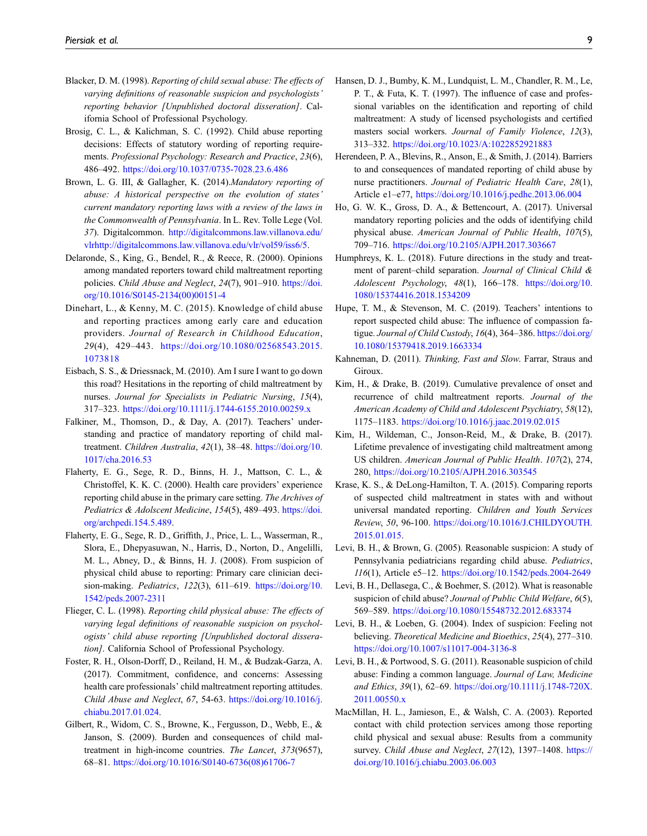- <span id="page-8-8"></span>Blacker, D. M. (1998). Reporting of child sexual abuse: The effects of varying definitions of reasonable suspicion and psychologists' reporting behavior [Unpublished doctoral disseration]. California School of Professional Psychology.
- <span id="page-8-9"></span>Brosig, C. L., & Kalichman, S. C. (1992). Child abuse reporting decisions: Effects of statutory wording of reporting requirements. Professional Psychology: Research and Practice, 23(6), 486–492. <https://doi.org/10.1037/0735-7028.23.6.486>
- <span id="page-8-11"></span>Brown, L. G. III, & Gallagher, K. (2014).Mandatory reporting of abuse: A historical perspective on the evolution of states' current mandatory reporting laws with a review of the laws in the Commonwealth of Pennsylvania. In L. Rev. Tolle Lege (Vol. 37). Digitalcommon. [http://digitalcommons.law.villanova.edu/](http://digitalcommons.law.villanova.edu/vlrhttp://digitalcommons.law.villanova.edu/vlr/vol59/iss6/5) [vlrhttp://digitalcommons.law.villanova.edu/vlr/vol59/iss6/5.](http://digitalcommons.law.villanova.edu/vlrhttp://digitalcommons.law.villanova.edu/vlr/vol59/iss6/5)
- <span id="page-8-19"></span>Delaronde, S., King, G., Bendel, R., & Reece, R. (2000). Opinions among mandated reporters toward child maltreatment reporting policies. Child Abuse and Neglect, 24(7), 901-910. [https://doi.](https://doi.org/10.1016/S0145-2134(00)00151-4) [org/10.1016/S0145-2134\(00\)00151-4](https://doi.org/10.1016/S0145-2134(00)00151-4)
- <span id="page-8-20"></span>Dinehart, L., & Kenny, M. C. (2015). Knowledge of child abuse and reporting practices among early care and education providers. Journal of Research in Childhood Education, 29(4), 429–443. [https://doi.org/10.1080/02568543.2015.](https://doi.org/10.1080/02568543.2015.1073818) [1073818](https://doi.org/10.1080/02568543.2015.1073818)
- <span id="page-8-6"></span>Eisbach, S. S., & Driessnack, M. (2010). Am I sure I want to go down this road? Hesitations in the reporting of child maltreatment by nurses. Journal for Specialists in Pediatric Nursing, 15(4), 317–323. <https://doi.org/10.1111/j.1744-6155.2010.00259.x>
- <span id="page-8-21"></span>Falkiner, M., Thomson, D., & Day, A. (2017). Teachers' understanding and practice of mandatory reporting of child maltreatment. Children Australia, 42(1), 38-48. [https://doi.org/10.](https://doi.org/10.1017/cha.2016.53) [1017/cha.2016.53](https://doi.org/10.1017/cha.2016.53)
- <span id="page-8-7"></span>Flaherty, E. G., Sege, R. D., Binns, H. J., Mattson, C. L., & Christoffel, K. K. C. (2000). Health care providers' experience reporting child abuse in the primary care setting. The Archives of Pediatrics & Adolscent Medicine, 154(5), 489-493. [https://doi.](https://doi.org/archpedi.154.5.489) [org/archpedi.154.5.489.](https://doi.org/archpedi.154.5.489)
- <span id="page-8-4"></span>Flaherty, E. G., Sege, R. D., Griffith, J., Price, L. L., Wasserman, R., Slora, E., Dhepyasuwan, N., Harris, D., Norton, D., Angelilli, M. L., Abney, D., & Binns, H. J. (2008). From suspicion of physical child abuse to reporting: Primary care clinician decision-making. Pediatrics, 122(3), 611-619. [https://doi.org/10.](https://doi.org/10.1542/peds.2007-2311) [1542/peds.2007-2311](https://doi.org/10.1542/peds.2007-2311)
- <span id="page-8-10"></span>Flieger, C. L. (1998). Reporting child physical abuse: The effects of varying legal definitions of reasonable suspicion on psychologists' child abuse reporting [Unpublished doctoral disseration]. California School of Professional Psychology.
- <span id="page-8-22"></span>Foster, R. H., Olson-Dorff, D., Reiland, H. M., & Budzak-Garza, A. (2017). Commitment, confidence, and concerns: Assessing health care professionals' child maltreatment reporting attitudes. Child Abuse and Neglect, 67, 54-63. [https://doi.org/10.1016/j.](https://doi.org/10.1016/j.chiabu.2017.01.024) [chiabu.2017.01.024](https://doi.org/10.1016/j.chiabu.2017.01.024).
- <span id="page-8-2"></span>Gilbert, R., Widom, C. S., Browne, K., Fergusson, D., Webb, E., & Janson, S. (2009). Burden and consequences of child maltreatment in high-income countries. The Lancet, 373(9657), 68–81. [https://doi.org/10.1016/S0140-6736\(08\)61706-7](https://doi.org/10.1016/S0140-6736(08)61706-7)
- <span id="page-8-23"></span>Hansen, D. J., Bumby, K. M., Lundquist, L. M., Chandler, R. M., Le, P. T., & Futa, K. T. (1997). The influence of case and professional variables on the identification and reporting of child maltreatment: A study of licensed psychologists and certified masters social workers. Journal of Family Violence, 12(3), 313–332. <https://doi.org/10.1023/A:1022852921883>
- <span id="page-8-5"></span>Herendeen, P. A., Blevins, R., Anson, E., & Smith, J. (2014). Barriers to and consequences of mandated reporting of child abuse by nurse practitioners. Journal of Pediatric Health Care, 28(1), Article e1–e77, <https://doi.org/10.1016/j.pedhc.2013.06.004>
- <span id="page-8-12"></span>Ho, G. W. K., Gross, D. A., & Bettencourt, A. (2017). Universal mandatory reporting policies and the odds of identifying child physical abuse. American Journal of Public Health, 107(5), 709–716. <https://doi.org/10.2105/AJPH.2017.303667>
- <span id="page-8-25"></span>Humphreys, K. L. (2018). Future directions in the study and treatment of parent–child separation. Journal of Clinical Child & Adolescent Psychology, 48(1), 166–178. [https://doi.org/10.](https://doi.org/10.1080/15374416.2018.1534209) [1080/15374416.2018.1534209](https://doi.org/10.1080/15374416.2018.1534209)
- <span id="page-8-24"></span>Hupe, T. M., & Stevenson, M. C. (2019). Teachers' intentions to report suspected child abuse: The influence of compassion fatigue. Journal of Child Custody, 16(4), 364–386. [https://doi.org/](https://doi.org/10.1080/15379418.2019.1663334) [10.1080/15379418.2019.1663334](https://doi.org/10.1080/15379418.2019.1663334)
- <span id="page-8-18"></span>Kahneman, D. (2011). Thinking, Fast and Slow. Farrar, Straus and Giroux.
- <span id="page-8-1"></span>Kim, H., & Drake, B. (2019). Cumulative prevalence of onset and recurrence of child maltreatment reports. Journal of the American Academy of Child and Adolescent Psychiatry, 58(12), 1175–1183. <https://doi.org/10.1016/j.jaac.2019.02.015>
- <span id="page-8-0"></span>Kim, H., Wildeman, C., Jonson-Reid, M., & Drake, B. (2017). Lifetime prevalence of investigating child maltreatment among US children. American Journal of Public Health. 107(2), 274, 280, <https://doi.org/10.2105/AJPH.2016.303545>
- <span id="page-8-13"></span>Krase, K. S., & DeLong-Hamilton, T. A. (2015). Comparing reports of suspected child maltreatment in states with and without universal mandated reporting. Children and Youth Services Review, 50, 96-100. [https://doi.org/10.1016/J.CHILDYOUTH.](https://doi.org/10.1016/J.CHILDYOUTH.2015.01.015) [2015.01.015](https://doi.org/10.1016/J.CHILDYOUTH.2015.01.015).
- <span id="page-8-15"></span>Levi, B. H., & Brown, G. (2005). Reasonable suspicion: A study of Pennsylvania pediatricians regarding child abuse. Pediatrics, 116(1), Article e5–12. <https://doi.org/10.1542/peds.2004-2649>
- <span id="page-8-14"></span>Levi, B. H., Dellasega, C., & Boehmer, S. (2012). What is reasonable suspicion of child abuse? Journal of Public Child Welfare, 6(5), 569–589. <https://doi.org/10.1080/15548732.2012.683374>
- <span id="page-8-16"></span>Levi, B. H., & Loeben, G. (2004). Index of suspicion: Feeling not believing. Theoretical Medicine and Bioethics, 25(4), 277–310. <https://doi.org/10.1007/s11017-004-3136-8>
- <span id="page-8-17"></span>Levi, B. H., & Portwood, S. G. (2011). Reasonable suspicion of child abuse: Finding a common language. Journal of Law, Medicine and Ethics, 39(1), 62–69. [https://doi.org/10.1111/j.1748-720X.](https://doi.org/10.1111/j.1748-720X.2011.00550.x) [2011.00550.x](https://doi.org/10.1111/j.1748-720X.2011.00550.x)
- <span id="page-8-3"></span>MacMillan, H. L., Jamieson, E., & Walsh, C. A. (2003). Reported contact with child protection services among those reporting child physical and sexual abuse: Results from a community survey. Child Abuse and Neglect, 27(12), 1397-1408. [https://](https://doi.org/10.1016/j.chiabu.2003.06.003) [doi.org/10.1016/j.chiabu.2003.06.003](https://doi.org/10.1016/j.chiabu.2003.06.003)